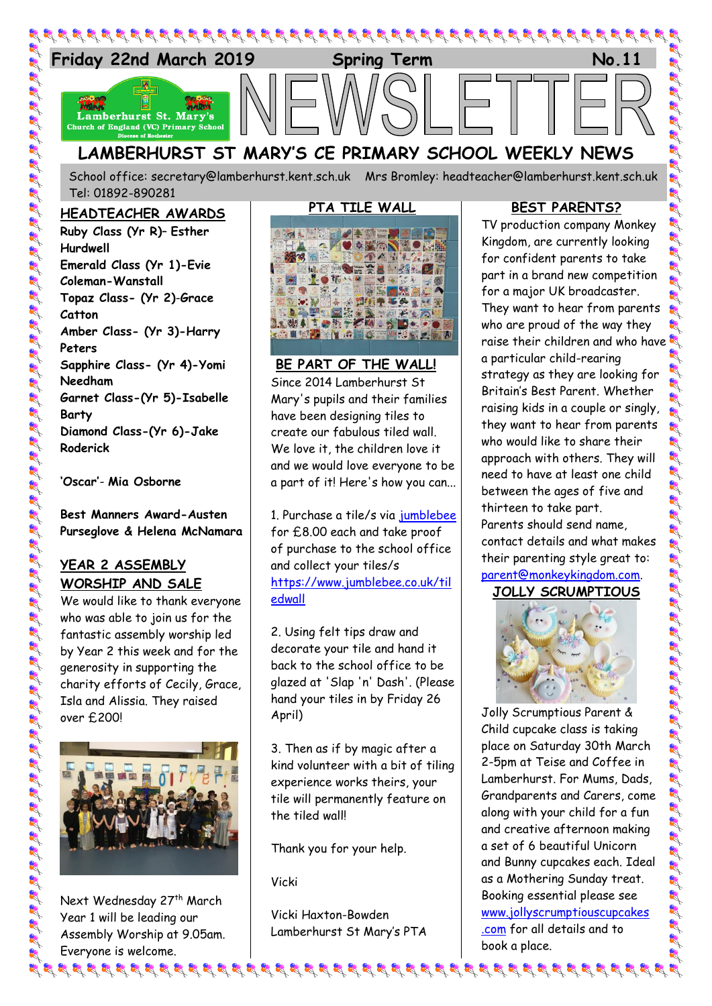

# **LAMBERHURST ST MARY'S CE PRIMARY SCHOOL WEEKLY NEWS**

School office: [secretary@lamberhurst.kent.sch.uk](mailto:secretary@lamberhurst.kent.sch.uk) Mrs Bromley: headteacher@lamberhurst.kent.sch.uk Tel: 01892-890281

#### **HEADTEACHER AWARDS**

**Ruby Class (Yr R)**– **Esther Hurdwell Emerald Class (Yr 1)-Evie Coleman-Wanstall Topaz Class- (Yr 2)**-**Grace Catton Amber Class- (Yr 3)-Harry Peters Sapphire Class- (Yr 4)-Yomi Needham Garnet Class-(Yr 5)-Isabelle Barty Diamond Class-(Yr 6)-Jake Roderick**

**'Oscar'**- **Mia Osborne**

**Best Manners Award-Austen Purseglove & Helena McNamara**

## **YEAR 2 ASSEMBLY WORSHIP AND SALE**

We would like to thank everyone who was able to join us for the fantastic assembly worship led by Year 2 this week and for the generosity in supporting the charity efforts of Cecily, Grace, Isla and Alissia. They raised over £200!



Next Wednesday 27<sup>th</sup> March Year 1 will be leading our Assembly Worship at 9.05am. Everyone is welcome. के पुरुष के दिख के पुरुष के पुरुष के पुरुष के पुरुष के पुरुष के पुरुष के पुरुष के पुरुष के पुरुष के पुरुष के पुर

# **PTA TILE WALL**



**BE PART OF THE WALL!** Since 2014 Lamberhurst St Mary's pupils and their families have been designing tiles to create our fabulous tiled wall. We love it, the children love it and we would love everyone to be a part of it! Here's how you can...

1. Purchase a tile/s via [jumblebee](https://www.jumblebee.co.uk/tiledwall) for £8.00 each and take proof of purchase to the school office and collect your tiles/s [https://www.jumblebee.co.uk/til](https://www.jumblebee.co.uk/tiledwall?fbclid=IwAR1-HuhZLL-xOS197Gm6MofmlsZiIpFNdGAQDs0cT3Kvs2QcMZ4xeXQHzGE) [edwall](https://www.jumblebee.co.uk/tiledwall?fbclid=IwAR1-HuhZLL-xOS197Gm6MofmlsZiIpFNdGAQDs0cT3Kvs2QcMZ4xeXQHzGE)

2. Using felt tips draw and decorate your tile and hand it back to the school office to be glazed at 'Slap 'n' Dash'. (Please hand your tiles in by Friday 26 April)

3. Then as if by magic after a kind volunteer with a bit of tiling experience works theirs, your tile will permanently feature on the tiled wall!

Thank you for your help.

Vicki

Vicki Haxton-Bowden Lamberhurst St Mary's PTA

#### **BEST PARENTS?**

TV production company Monkey Kingdom, are currently looking for confident parents to take part in a brand new competition for a major UK broadcaster. They want to hear from parents who are proud of the way they raise their children and who have a particular child-rearing strategy as they are looking for Britain's Best Parent. Whether raising kids in a couple or singly, they want to hear from parents who would like to share their approach with others. They will need to have at least one child between the ages of five and thirteen to take part. Parents should send name, contact details and what makes their parenting style great to: [parent@monkeykingdom.com.](mailto:parent@monkeykingdom.com) **JOLLY SCRUMPTIOUS**



Jolly Scrumptious Parent & Child cupcake class is taking place on Saturday 30th March 2-5pm at Teise and Coffee in Lamberhurst. For Mums, Dads, Grandparents and Carers, come along with your child for a fun and creative afternoon making a set of 6 beautiful Unicorn and Bunny cupcakes each. Ideal as a Mothering Sunday treat. Booking essential please see [www.jollyscrumptiouscupcakes](http://www.jollyscrumptiouscupcakes.com/) [.com](http://www.jollyscrumptiouscupcakes.com/) for all details and to book a place.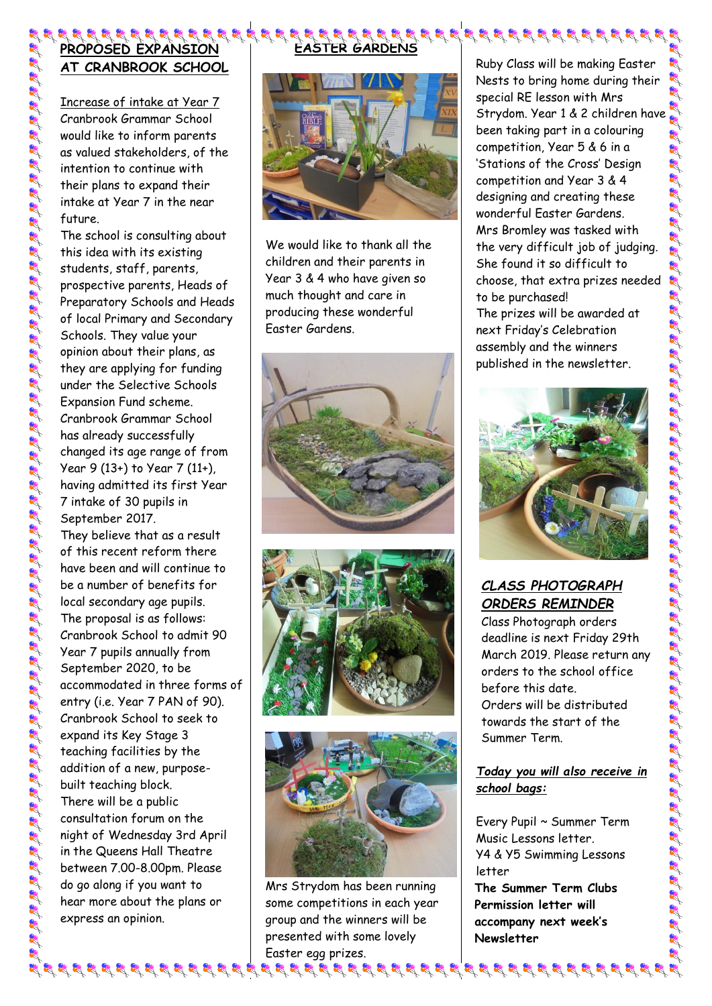## 8 8 9 8 9 8 9 8 9 8 9 8 9 8 9 **PROPOSED EXPANSION AT CRANBROOK SCHOOL**

Increase of intake at Year 7 Cranbrook Grammar School would like to inform parents as valued stakeholders, of the intention to continue with their plans to expand their intake at Year 7 in the near future.

The school is consulting about this idea with its existing students, staff, parents, prospective parents, Heads of Preparatory Schools and Heads of local Primary and Secondary Schools. They value your opinion about their plans, as they are applying for funding under the Selective Schools Expansion Fund scheme. Cranbrook Grammar School has already successfully changed its age range of from Year 9 (13+) to Year 7 (11+), having admitted its first Year 7 intake of 30 pupils in September 2017.

es and the state of the state of the state of the state of the state of the state of the state of the state of the state of the state of the state of the state of the state of the state of the state of the state of the sta

They believe that as a result of this recent reform there have been and will continue to be a number of benefits for local secondary age pupils. The proposal is as follows: Cranbrook School to admit 90 Year 7 pupils annually from September 2020, to be accommodated in three forms of entry (i.e. Year 7 PAN of 90). Cranbrook School to seek to expand its Key Stage 3 teaching facilities by the addition of a new, purposebuilt teaching block. There will be a public consultation forum on the night of Wednesday 3rd April in the Queens Hall Theatre between 7.00-8.00pm. Please do go along if you want to hear more about the plans or express an opinion.



**EASTER GARDENS**

We would like to thank all the children and their parents in Year 3 & 4 who have given so much thought and care in producing these wonderful Easter Gardens.







Mrs Strydom has been running some competitions in each year group and the winners will be presented with some lovely Easter egg prizes.

Ruby Class will be making Easter Nests to bring home during their special RE lesson with Mrs Strydom. Year 1 & 2 children have been taking part in a colouring competition, Year 5 & 6 in a 'Stations of the Cross' Design competition and Year 3 & 4 designing and creating these wonderful Easter Gardens. Mrs Bromley was tasked with the very difficult job of judging. She found it so difficult to choose, that extra prizes needed to be purchased! The prizes will be awarded at next Friday's Celebration assembly and the winners published in the newsletter.



# *CLASS PHOTOGRAPH ORDERS REMINDER*

Class Photograph orders deadline is next Friday 29th March 2019. Please return any orders to the school office before this date. Orders will be distributed towards the start of the Summer Term.

### *Today you will also receive in school bags:*

Every Pupil ~ Summer Term Music Lessons letter. Y4 & Y5 Swimming Lessons letter **The Summer Term Clubs**

**Permission letter will accompany next week's Newsletter**